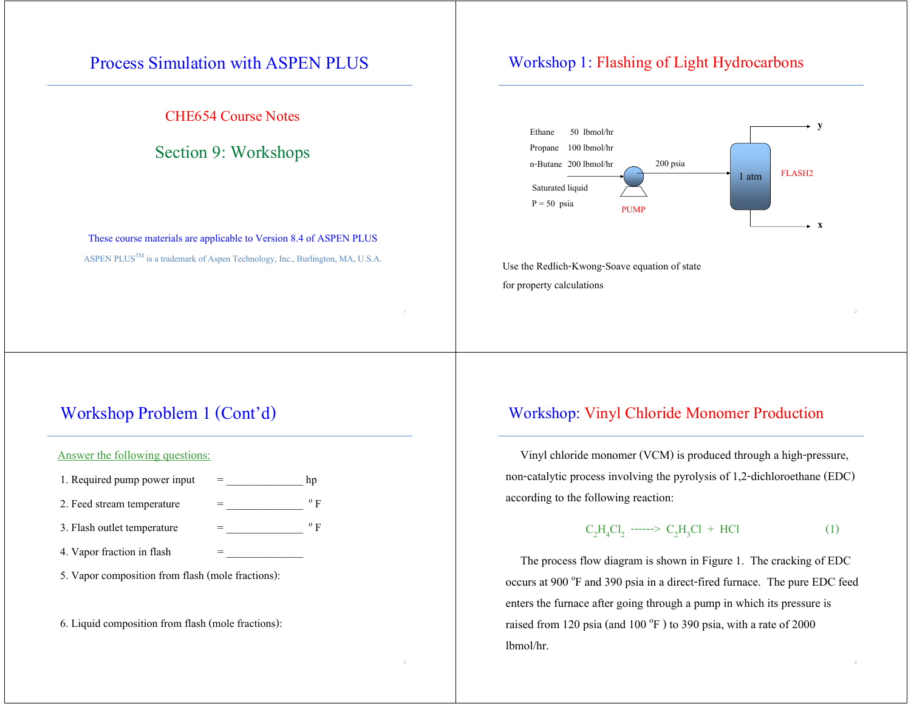## Process Simulation with ASPEN PLUS

CHE654 Course Notes

### Section 9: Workshops

These course materials are applicable to Version 8.4 of ASPEN PLUS ASPEN PLUS<sup>TM</sup> is a trademark of Aspen Technology, Inc., Burlington, MA, U.S.A.

### Workshop 1: Flashing of Light Hydrocarbons



Use the Redlich-Kwong-Soave equation of state for property calculations

 $1$  and  $2$  and  $2$  and  $2$  and  $2$  and  $2$  and  $2$  and  $2$  and  $2$  and  $2$  and  $2$ 

## Workshop Problem 1 (Cont'd)

#### Answer the following questions:

| 1. Required pump power input | hp           |
|------------------------------|--------------|
| 2. Feed stream temperature   | $^{\rm o}$ F |
| 3. Flash outlet temperature  | $^{\rm o}$ F |
| 4. Vapor fraction in flash   |              |

5. Vapor composition from flash (mole fractions):

6. Liquid composition from flash (mole fractions):

### Workshop: Vinyl Chloride Monomer Production

 Vinyl chloride monomer (VCM) is produced through a high-pressure, non-catalytic process involving the pyrolysis of 1,2-dichloroethane (EDC) according to the following reaction:

$$
C_2H_4Cl_2 \cdots > C_2H_3Cl + HCl \tag{1}
$$

 The process flow diagram is shown in Figure 1. The cracking of EDC occurs at 900 °F and 390 psia in a direct-fired furnace. The pure EDC feed enters the furnace after going through a pump in which its pressure is raised from 120 psia (and 100 $^{\circ}$ F) to 390 psia, with a rate of 2000 lbmol/hr.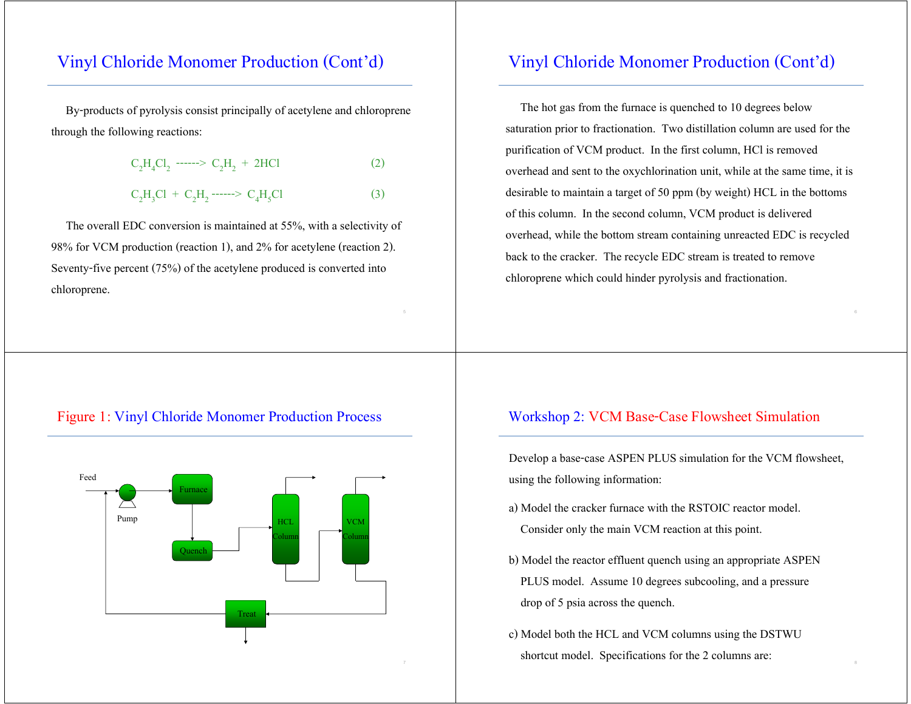# Vinyl Chloride Monomer Production (Cont'd)

 By-products of pyrolysis consist principally of acetylene and chloroprene through the following reactions:

| $C_2H_4Cl_2$ ------> $C_2H_2$ + 2HCl   | (2) |
|----------------------------------------|-----|
| $C_2H_3Cl + C_2H_2$ ------> $C_4H_5Cl$ | (3) |

 The overall EDC conversion is maintained at 55%, with a selectivity of 98% for VCM production (reaction 1), and 2% for acetylene (reaction 2). Seventy-five percent (75%) of the acetylene produced is converted into chloroprene.

## Vinyl Chloride Monomer Production (Cont'd)

 The hot gas from the furnace is quenched to 10 degrees below saturation prior to fractionation. Two distillation column are used for the purification of VCM product. In the first column, HCl is removed overhead and sent to the oxychlorination unit, while at the same time, it is desirable to maintain a target of 50 ppm (by weight) HCL in the bottoms of this column. In the second column, VCM product is delivered overhead, while the bottom stream containing unreacted EDC is recycled back to the cracker. The recycle EDC stream is treated to remove chloroprene which could hinder pyrolysis and fractionation.

### Figure 1: Vinyl Chloride Monomer Production Process



### Workshop 2: VCM Base-Case Flowsheet Simulation

Develop a base-case ASPEN PLUS simulation for the VCM flowsheet, using the following information:

- a) Model the cracker furnace with the RSTOIC reactor model. Consider only the main VCM reaction at this point.
- b) Model the reactor effluent quench using an appropriate ASPEN PLUS model. Assume 10 degrees subcooling, and a pressure drop of 5 psia across the quench.
- c) Model both the HCL and VCM columns using the DSTWU shortcut model. Specifications for the 2 columns are: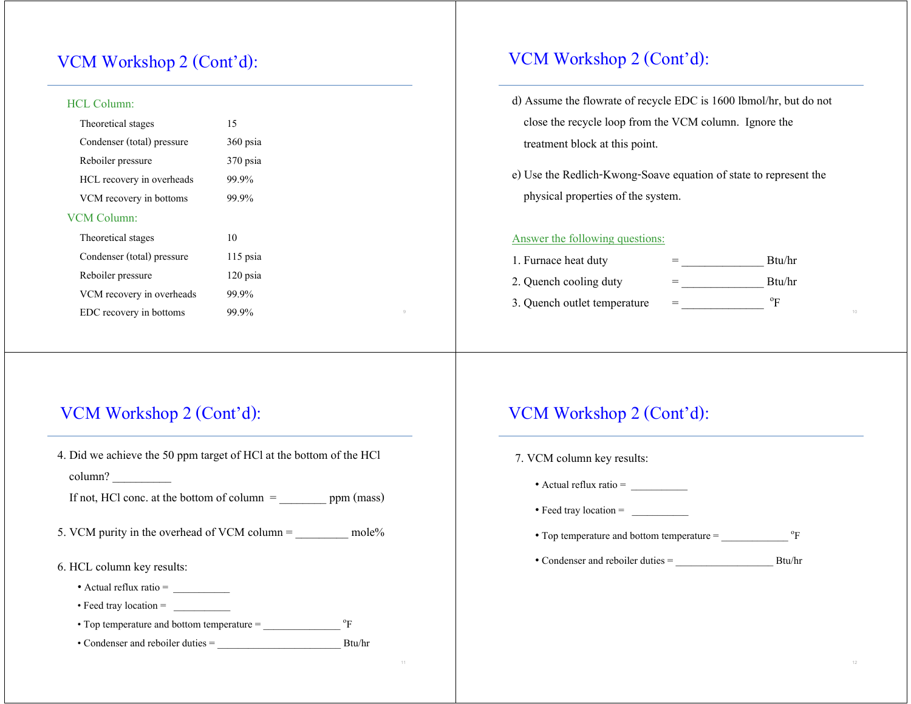# VCM Workshop 2 (Cont'd):

#### HCL Column:

| Theoretical stages         | 15         | close the recycle loop from the VCM column. Ignore the            |  |
|----------------------------|------------|-------------------------------------------------------------------|--|
| Condenser (total) pressure | $360$ psia | treatment block at this point.                                    |  |
| Reboiler pressure          | $370$ psia |                                                                   |  |
| HCL recovery in overheads  | 99.9%      | e) Use the Redlich-Kwong-Soave equation of state to represent the |  |
| VCM recovery in bottoms    | 99.9%      | physical properties of the system.                                |  |
| <b>VCM Column:</b>         |            |                                                                   |  |
| Theoretical stages         | 10         | Answer the following questions:                                   |  |
| Condenser (total) pressure | $115$ psia | Btu/hr<br>1. Furnace heat duty                                    |  |
| Reboiler pressure          | $120$ psia | Btu/hr<br>2. Quench cooling duty                                  |  |
| VCM recovery in overheads  | 99.9%      | $\mathrm{P}_{\mathrm{F}}$<br>3. Quench outlet temperature         |  |
| EDC recovery in bottoms    | 99.9%      |                                                                   |  |
|                            |            |                                                                   |  |

# VCM Workshop 2 (Cont'd):

- d) Assume the flowrate of recycle EDC is 1600 lbmol/hr, but do not close the recycle loop from the VCM column. Ignore the treatment block at this point.
- e) Use the Redlich-Kwong-Soave equation of state to represent the physical properties of the system.

#### Answer the following questions:

| 1. Furnace heat duty         | Btu/hr      |
|------------------------------|-------------|
| 2. Quench cooling duty       | Btu/hr      |
| 3. Quench outlet temperature | $\rm ^{o}F$ |

## VCM Workshop 2 (Cont'd):

4. Did we achieve the 50 ppm target of HCl at the bottom of the HCl column? \_\_\_\_\_\_\_\_\_\_

If not, HCl conc. at the bottom of column  $=$  ppm (mass)

- 5. VCM purity in the overhead of VCM column =  $\mu$  mole%
- 6. HCL column key results:
	- Actual reflux ratio =
	- Feed tray location = \_\_\_\_\_\_\_\_\_\_\_
	- Top temperature and bottom temperature  $=$   $^{\circ}$ F
	- Condenser and reboiler duties = \_\_\_\_\_\_\_\_\_\_\_\_\_\_\_\_\_\_\_\_\_\_\_\_ Btu/hr

## VCM Workshop 2 (Cont'd):

7. VCM column key results: • Actual reflux ratio = \_\_\_\_\_\_\_\_\_\_\_ • Feed tray location = • Top temperature and bottom temperature  $=$   $^{\circ}$ F • Condenser and reboiler duties = \_\_\_\_\_\_\_\_\_\_\_\_\_\_\_\_\_\_\_ Btu/hr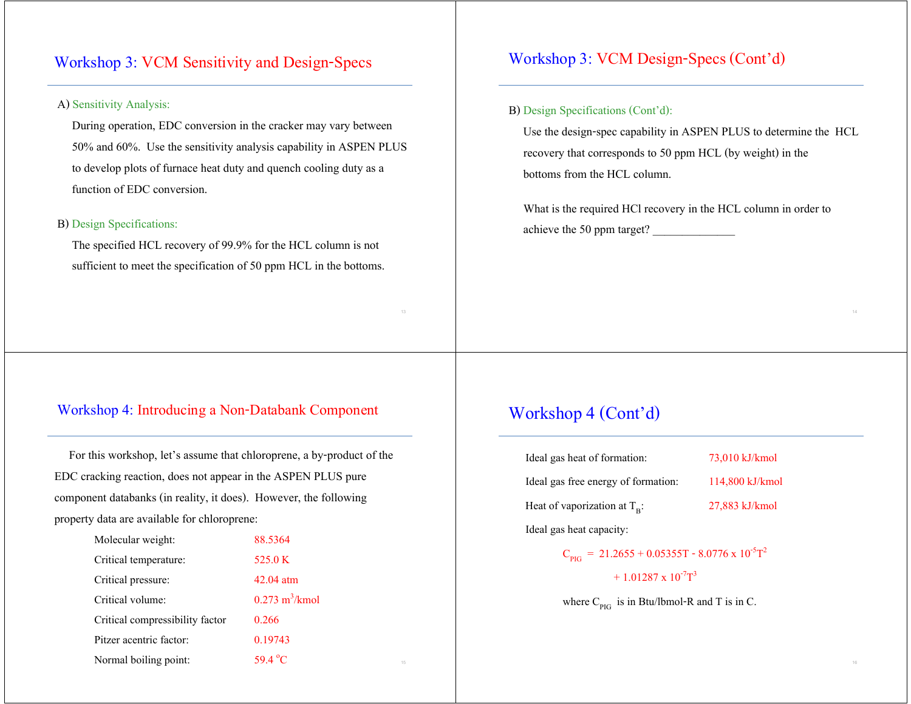## Workshop 3: VCM Sensitivity and Design-Specs

### A) Sensitivity Analysis:

 During operation, EDC conversion in the cracker may vary between 50% and 60%. Use the sensitivity analysis capability in ASPEN PLUS to develop plots of furnace heat duty and quench cooling duty as <sup>a</sup> function of EDC conversion.

### B) Design Specifications:

 The specified HCL recovery of 99.9% for the HCL column is not sufficient to meet the specification of 50 ppm HCL in the bottoms.

### Workshop 4: Introducing a Non-Databank Component

 For this workshop, let's assume that chloroprene, a by-product of the EDC cracking reaction, does not appear in the ASPEN PLUS pure component databanks (in reality, it does). However, the following property data are available for chloroprene:

| Molecular weight:               | 88.5364                         |                                                                  |  |
|---------------------------------|---------------------------------|------------------------------------------------------------------|--|
| Critical temperature:           | 525.0 K                         | $C_{\text{PIG}} = 21.2655 + 0.05355T - 8.0776 \times 10^{-5}T^2$ |  |
| Critical pressure:              | $42.04$ atm                     | $+1.01287 \times 10^{-7}$ T <sup>3</sup>                         |  |
| Critical volume:                | $0.273 \text{ m}^3/\text{kmol}$ | where $C_{PIG}$ is in Btu/lbmol-R and T is in C.                 |  |
| Critical compressibility factor | 0.266                           |                                                                  |  |
| Pitzer acentric factor:         | 0.19743                         |                                                                  |  |
| Normal boiling point:           | 59.4 °C<br>15                   |                                                                  |  |

### Workshop 3: VCM Design-Specs (Cont'd)

#### B) Design Specifications (Cont'd):

 Use the design-spec capability in ASPEN PLUS to determine the HCL recovery that corresponds to 50 ppm HCL (by weight) in the bottoms from the HCL column.

 What is the required HCl recovery in the HCL column in order to achieve the 50 ppm target?

### Workshop 4 (Cont'd)

| Ideal gas heat of formation:          | 73,010 kJ/kmol  |
|---------------------------------------|-----------------|
| Ideal gas free energy of formation:   | 114,800 kJ/kmol |
| Heat of vaporization at $T_{\rm B}$ : | 27,883 kJ/kmol  |
| Ideal gas heat capacity:              |                 |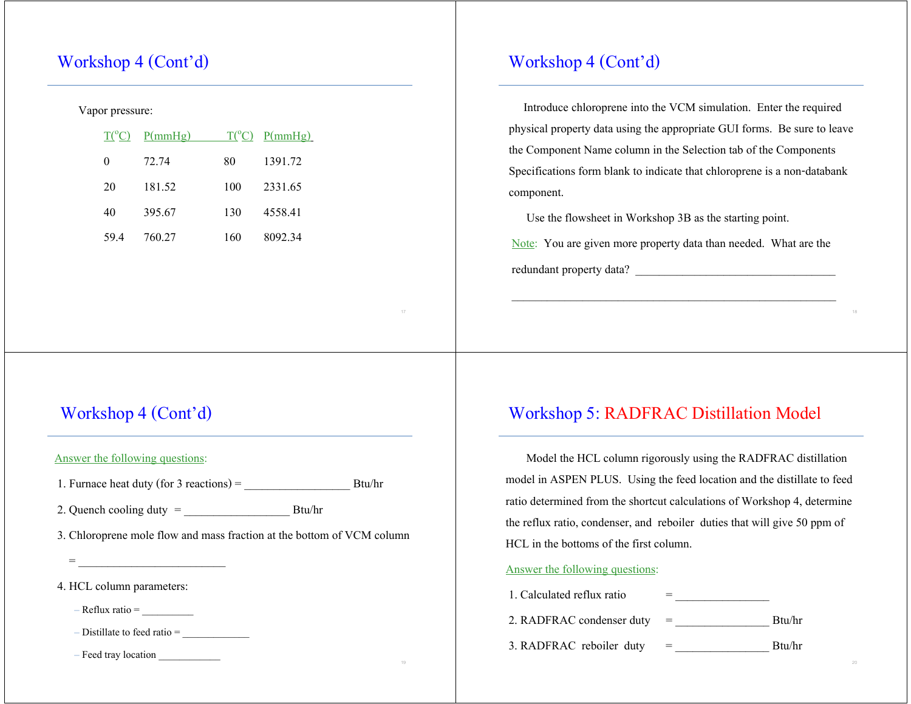# Workshop 4 (Cont'd)

#### Vapor pressure:

| $T(^{\circ}C)$ | P(mmHg) |     | $T(^{\circ}C)$ P(mmHg) |
|----------------|---------|-----|------------------------|
| 0              | 72.74   | 80  | 1391.72                |
| 20             | 181.52  | 100 | 2331.65                |
| 40             | 395.67  | 130 | 4558.41                |
| 59.4           | 760.27  | 160 | 8092.34                |

# Workshop 4 (Cont'd)

Answer the following questions:

1. Furnace heat duty (for 3 reactions) =  $\qquad \qquad$  Btu/hr

2. Quench cooling duty = \_\_\_\_\_\_\_\_\_\_\_\_\_\_\_\_\_\_ Btu/hr

3. Chloroprene mole flow and mass fraction at the bottom of VCM column

4. HCL column parameters:

 $-$  Reflux ratio  $=$ 

– Distillate to feed ratio = \_\_\_\_\_\_\_\_\_\_\_\_\_

 $-$  Feed tray location  $\overline{\phantom{a}}$ 

# Workshop 4 (Cont'd)

 Introduce chloroprene into the VCM simulation. Enter the required physical property data using the appropriate GUI forms. Be sure to leave the Component Name column in the Selection tab of the Components Specifications form blank to indicate that chloroprene is a non-databank component.

Use the flowsheet in Workshop 3B as the starting point.

Note: You are given more property data than needed. What are the redundant property data?

## Workshop 5: RADFRAC Distillation Model

 Model the HCL column rigorously using the RADFRAC distillation model in ASPEN PLUS. Using the feed location and the distillate to feed ratio determined from the shortcut calculations of Workshop 4, determine the reflux ratio, condenser, and reboiler duties that will give 50 ppm of HCL in the bottoms of the first column.

#### Answer the following questions:

| 1. Calculated reflux ratio |        |
|----------------------------|--------|
| 2. RADFRAC condenser duty  | Btu/hr |
| 3. RADFRAC reboiler duty   | Btu/hr |